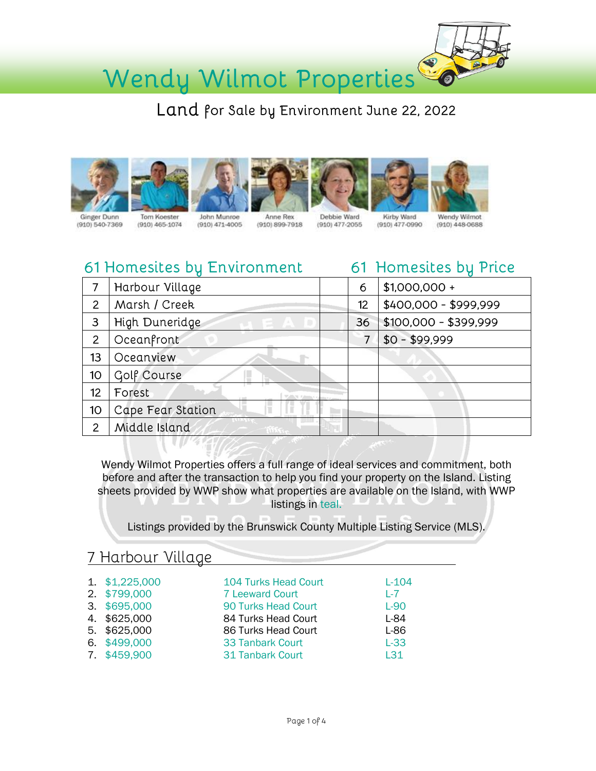

Wendy Wilmot Properties

Land for Sale by Environment June 22, 2022













Ginger Dunn  $(910) 540 - 7369$ 

 $(910)$  465-1074

Anne Rex  $(910)$   $471 - 4005$  $(910) 899 - 7918$ 

Debbie Ward (910) 477-2055

Wendy Wilmot (910) 477-0990 (910) 448-0688

## 61 Homesites by Environment

61 Homesites by Price

|                | Harbour Village   | 6  | $$1,000,000 +$        |
|----------------|-------------------|----|-----------------------|
| $\overline{2}$ | Marsh / Creek     | 12 | \$400,000 - \$999,999 |
| 3              | High Duneridge    | 36 | $$100,000 - $399,999$ |
| $\overline{2}$ | Oceanfront        |    | $$0 - $99,999$        |
| 13             | Oceanview         |    |                       |
| 10             | Golf Course       |    |                       |
| 12             | Forest            |    |                       |
| 10             | Cape Fear Station |    |                       |
| 2              | Middle Island     |    |                       |

Wendy Wilmot Properties offers a full range of ideal services and commitment, both before and after the transaction to help you find your property on the Island. Listing sheets provided by WWP show what properties are available on the Island, with WWP listings in teal.

Listings provided by the Brunswick County Multiple Listing Service (MLS).

### 7 Harbour Village

| 1. \$1,225,000 | <b>104 Turks Head Court</b> | $L - 104$ |
|----------------|-----------------------------|-----------|
| 2. \$799,000   | <b>7 Leeward Court</b>      | $L - 7$   |
| 3. \$695,000   | 90 Turks Head Court         | $L-90$    |
| 4. \$625,000   | 84 Turks Head Court         | L-84      |
| 5. \$625,000   | 86 Turks Head Court         | L-86      |
| 6. \$499,000   | <b>33 Tanbark Court</b>     | $L-33$    |
| 7. \$459,900   | <b>31 Tanbark Court</b>     | L31       |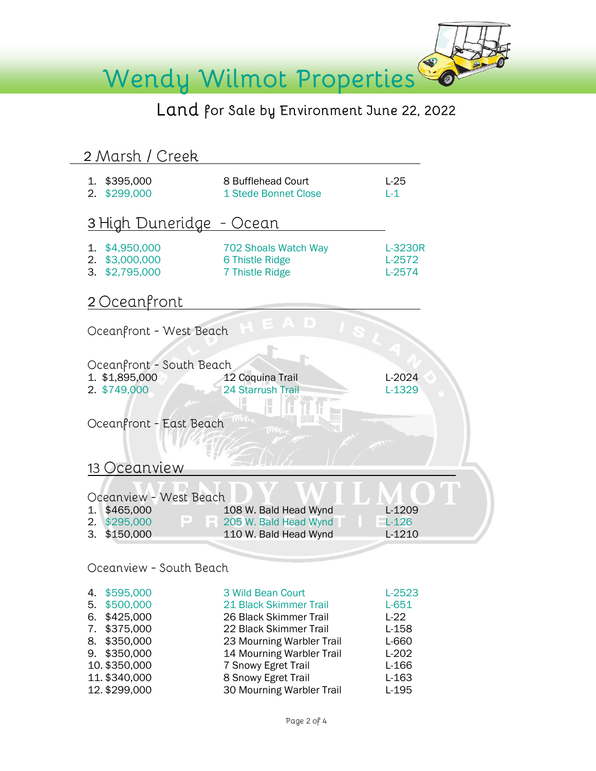

# Land for Sale by Environment June 22, 2022

| 2 Marsh / Creek                                                                                                                                                   |                                                                                                                                                                                                                                      |                                                                                               |  |  |  |
|-------------------------------------------------------------------------------------------------------------------------------------------------------------------|--------------------------------------------------------------------------------------------------------------------------------------------------------------------------------------------------------------------------------------|-----------------------------------------------------------------------------------------------|--|--|--|
| 1. \$395,000<br>\$299,000<br>2.                                                                                                                                   | 8 Bufflehead Court<br>1 Stede Bonnet Close                                                                                                                                                                                           | $L-25$<br>$L-1$                                                                               |  |  |  |
| 3 High Duneridge - Ocean                                                                                                                                          |                                                                                                                                                                                                                                      |                                                                                               |  |  |  |
| \$4,950,000<br>1.<br>\$3,000,000<br>2.<br>3. \$2,795,000                                                                                                          | 702 Shoals Watch Way<br>6 Thistle Ridge<br>7 Thistle Ridge                                                                                                                                                                           | L-3230R<br>L-2572<br>$L-2574$                                                                 |  |  |  |
| 2 Oceanfront                                                                                                                                                      |                                                                                                                                                                                                                                      |                                                                                               |  |  |  |
| Oceanfront - West Beach                                                                                                                                           |                                                                                                                                                                                                                                      |                                                                                               |  |  |  |
| Oceanfront - South Beach<br>1. \$1,895,000<br>2. \$749,000                                                                                                        | 12 Coquina Trail<br><b>24 Starrush Trail</b>                                                                                                                                                                                         | L-2024<br>$L-1329$                                                                            |  |  |  |
| Oceanfront - East Beach                                                                                                                                           |                                                                                                                                                                                                                                      |                                                                                               |  |  |  |
| 13 Oceanview                                                                                                                                                      |                                                                                                                                                                                                                                      |                                                                                               |  |  |  |
| Oceanview - West Beach                                                                                                                                            |                                                                                                                                                                                                                                      |                                                                                               |  |  |  |
| \$465,000<br>1.<br>\$295,000<br>2.<br>3.<br>\$150,000                                                                                                             | 108 W. Bald Head Wynd<br>$\Box$ $\Box$ 205 W. Bald Head Wynd<br>110 W. Bald Head Wynd                                                                                                                                                | L-1209<br>$L-126$<br>L-1210                                                                   |  |  |  |
| Oceanview - South Beach                                                                                                                                           |                                                                                                                                                                                                                                      |                                                                                               |  |  |  |
| \$595,000<br>4.<br>\$500,000<br>5.<br>6.<br>\$425,000<br>\$375,000<br>7.<br>8.<br>\$350,000<br>\$350,000<br>9.<br>10. \$350,000<br>11. \$340,000<br>12. \$299,000 | 3 Wild Bean Court<br>21 Black Skimmer Trail<br>26 Black Skimmer Trail<br>22 Black Skimmer Trail<br>23 Mourning Warbler Trail<br>14 Mourning Warbler Trail<br>7 Snowy Egret Trail<br>8 Snowy Egret Trail<br>30 Mourning Warbler Trail | $L-2523$<br>$L-651$<br>$L-22$<br>$L-158$<br>L-660<br>$L-202$<br>$L-166$<br>$L-163$<br>$L-195$ |  |  |  |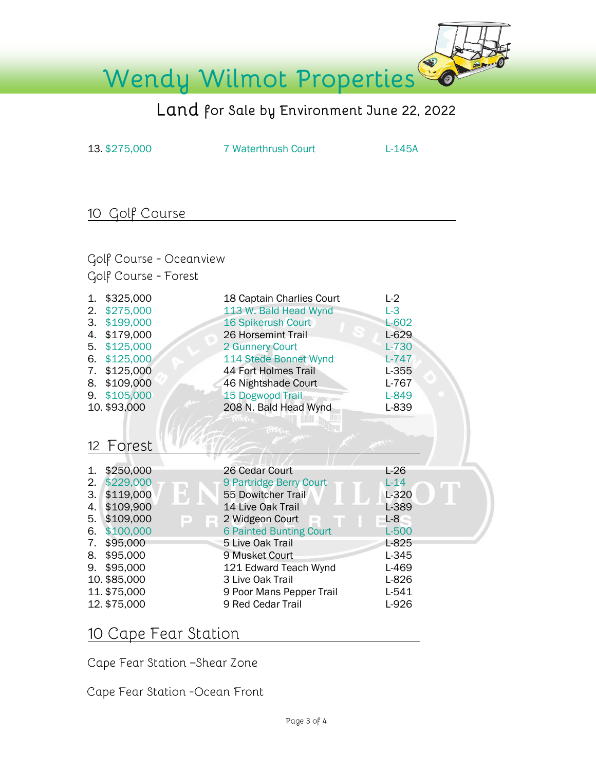

# Land for Sale by Environment June 22, 2022

13. \$275,000 7 Waterthrush Court L-145A

## 10 Golf Course

Golf Course - Oceanview Golf Course - Forest

| 1.<br>2.<br>3.<br>4.<br>5.<br>6.<br>7.<br>8. | \$325,000<br>\$275,000<br>\$199,000<br>\$179,000<br>\$125,000<br>\$125,000<br>\$125,000<br>\$109,000<br>9. \$105,000<br>10. \$93,000 | 18 Captain Charlies Court<br>113 W. Bald Head Wynd<br><b>16 Spikerush Court</b><br>26 Horsemint Trail<br>2 Gunnery Court<br>114 Stede Bonnet Wynd<br>44 Fort Holmes Trail<br>46 Nightshade Court<br>15 Dogwood Trail<br>208 N. Bald Head Wynd | $L-2$<br>$L-3$<br>$L-602$<br>$L-629$<br>$L-730$<br>$L-747$<br>$L-355$<br>$L-767$<br>L-849<br>L-839 |
|----------------------------------------------|--------------------------------------------------------------------------------------------------------------------------------------|-----------------------------------------------------------------------------------------------------------------------------------------------------------------------------------------------------------------------------------------------|----------------------------------------------------------------------------------------------------|
|                                              | 12 Forest                                                                                                                            |                                                                                                                                                                                                                                               |                                                                                                    |
|                                              |                                                                                                                                      | 26 Cedar Court                                                                                                                                                                                                                                | $L-26$                                                                                             |
| 1.<br>2.                                     | \$250,000<br>\$229,000                                                                                                               |                                                                                                                                                                                                                                               | $L-14$                                                                                             |
| 3.1                                          | \$119,000                                                                                                                            | 9 Partridge Berry Court<br>55 Dowitcher Trail                                                                                                                                                                                                 | L-320                                                                                              |
| 4.                                           | \$109,900                                                                                                                            | 14 Live Oak Trail                                                                                                                                                                                                                             | L-389                                                                                              |
|                                              | \$109,000<br>$\Rightarrow$                                                                                                           |                                                                                                                                                                                                                                               | $L-8$                                                                                              |
| 5.                                           | E<br>\$100,000                                                                                                                       | 2 Widgeon Court                                                                                                                                                                                                                               | $L-500$                                                                                            |
| 6.<br>7.                                     | \$95,000                                                                                                                             | <b>6 Painted Bunting Court</b><br>5 Live Oak Trail                                                                                                                                                                                            | L-825                                                                                              |
|                                              | \$95,000                                                                                                                             | 9 Musket Court                                                                                                                                                                                                                                | L-345                                                                                              |
| 8.                                           |                                                                                                                                      |                                                                                                                                                                                                                                               |                                                                                                    |
| 9.                                           | \$95,000                                                                                                                             | 121 Edward Teach Wynd                                                                                                                                                                                                                         | L-469                                                                                              |
|                                              | 10. \$85,000                                                                                                                         | 3 Live Oak Trail                                                                                                                                                                                                                              | L-826                                                                                              |
|                                              | 11. \$75,000                                                                                                                         | 9 Poor Mans Pepper Trail                                                                                                                                                                                                                      | $L-541$                                                                                            |
|                                              | 12. \$75,000                                                                                                                         | 9 Red Cedar Trail                                                                                                                                                                                                                             | L-926                                                                                              |

#### 10 Cape Fear Station

Cape Fear Station -Shear Zone

Cape Fear Station -Ocean Front